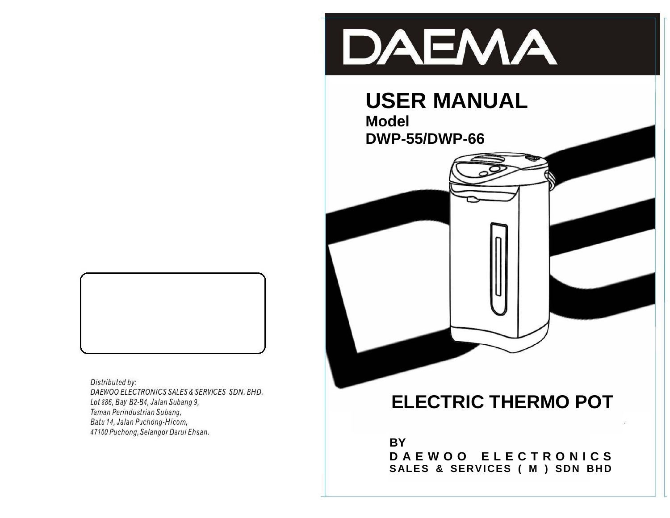

# **USER MANUAL**

**Model DWP-55/DWP-66**



Distributed by: DAEWOO ELECTRONICS SALES & SERVICES SDN. BHD. Lot 886, Bay B2-B4, Jalan Subang 9, Taman Perindustrian Subang, Batu 14, Jalan Puchong-Hicom, 47100 Puchong, Selangor Darul Ehsan.

## **ELECTRIC THERMO POT**

**BY D A E W O O E L E C T R O N I C S** SALES & SERVICES ( M ) SDN BHD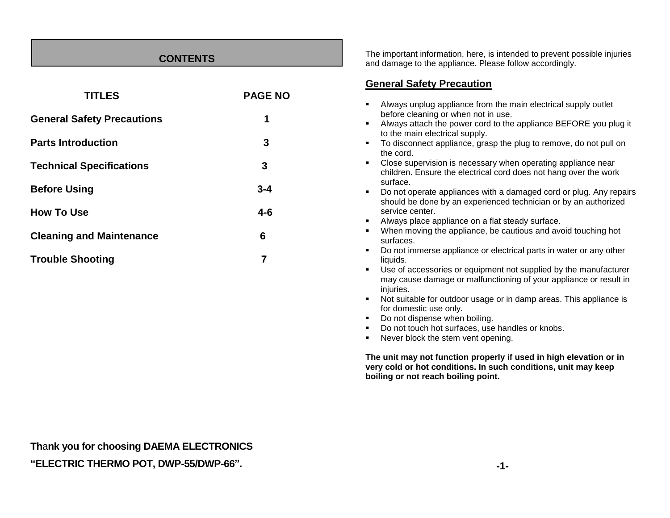#### **CONTENTS**

| <b>TITLES</b>                     | <b>PAGE NO</b> |
|-----------------------------------|----------------|
| <b>General Safety Precautions</b> | 1              |
| <b>Parts Introduction</b>         | 3              |
| <b>Technical Specifications</b>   | 3              |
| <b>Before Using</b>               | $3 - 4$        |
| <b>How To Use</b>                 | $4 - 6$        |
| <b>Cleaning and Maintenance</b>   | 6              |
| <b>Trouble Shooting</b>           | 7              |

The important information, here, is intended to prevent possible injuries and damage to the appliance. Please follow accordingly.

#### **General Safety Precaution**

| ٠ | Always unplug appliance from the main electrical supply outlet                                                                                           |
|---|----------------------------------------------------------------------------------------------------------------------------------------------------------|
|   | before cleaning or when not in use.                                                                                                                      |
| ٠ | Always attach the power cord to the appliance BEFORE you plug it<br>to the main electrical supply.                                                       |
| ٠ | To disconnect appliance, grasp the plug to remove, do not pull on<br>the cord.                                                                           |
| ٠ | Close supervision is necessary when operating appliance near                                                                                             |
|   | children. Ensure the electrical cord does not hang over the work<br>surface.                                                                             |
| ٠ | Do not operate appliances with a damaged cord or plug. Any repairs<br>should be done by an experienced technician or by an authorized<br>service center. |
| ٠ | Always place appliance on a flat steady surface.                                                                                                         |
| ٠ | When moving the appliance, be cautious and avoid touching hot<br>surfaces.                                                                               |
| ٠ | Do not immerse appliance or electrical parts in water or any other<br>liquids.                                                                           |
| ٠ | Use of accessories or equipment not supplied by the manufacturer<br>may cause damage or malfunctioning of your appliance or result in<br>injuries.       |
| ٠ | Not suitable for outdoor usage or in damp areas. This appliance is<br>for domestic use only.                                                             |
| ٠ | Do not dispense when boiling.                                                                                                                            |
| ٠ | Do not touch hot surfaces, use handles or knobs.                                                                                                         |
| ٠ | Never block the stem vent opening.                                                                                                                       |

**Th**a**nk you for choosing DAEMA ELECTRONICS "ELECTRIC THERMO POT, DWP-55/DWP-66".**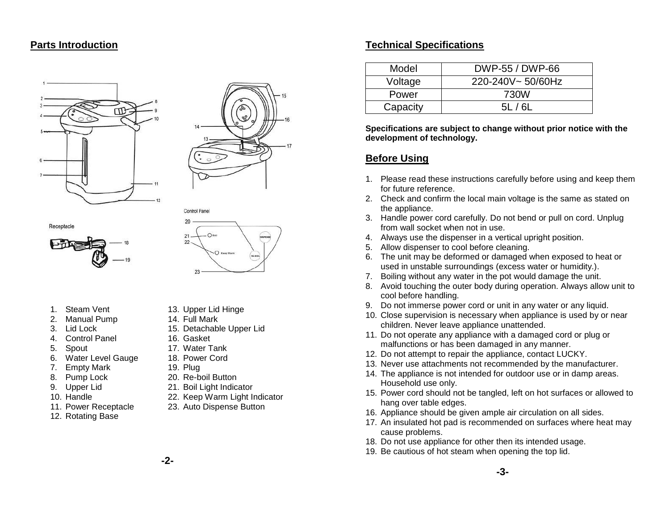#### **Parts Introduction**











- 1. Steam Vent
- 2. Manual Pump
- 3. Lid Lock
- 4. Control Panel
- 5. Spout
- 6. Water Level Gauge
- 7. Empty Mark
- 8. Pump Lock
- 9. Upper Lid
- 10. Handle
- 11. Power Receptacle
- 12. Rotating Base

13. Upper Lid Hinge 14. Full Mark

Control Panel

- 15. Detachable Upper Lid
- 16. Gasket
- 17. Water Tank
- 18. Power Cord
- 19. Plug
	- 20. Re-boil Button
	- 21. Boil Light Indicator
- 22. Keep Warm Light Indicator
- 23. Auto Dispense Button
- 

#### **Technical Specifications**

| Model    | DWP-55 / DWP-66  |
|----------|------------------|
| Voltage  | 220-240V~50/60Hz |
| Power    | 730W             |
| Capacity | 51 / 61          |

**Specifications are subject to change without prior notice with the development of technology.**

#### **Before Using**

- 1. Please read these instructions carefully before using and keep them for future reference.
- 2. Check and confirm the local main voltage is the same as stated on the appliance.
- 3. Handle power cord carefully. Do not bend or pull on cord. Unplug from wall socket when not in use.
- 4. Always use the dispenser in a vertical upright position.
- 5. Allow dispenser to cool before cleaning.
- 6. The unit may be deformed or damaged when exposed to heat or used in unstable surroundings (excess water or humidity.).
- 7. Boiling without any water in the pot would damage the unit.
- 8. Avoid touching the outer body during operation. Always allow unit to cool before handling.
- 9. Do not immerse power cord or unit in any water or any liquid.
- 10. Close supervision is necessary when appliance is used by or near children. Never leave appliance unattended.
- 11. Do not operate any appliance with a damaged cord or plug or malfunctions or has been damaged in any manner.
- 12. Do not attempt to repair the appliance, contact LUCKY.
- 13. Never use attachments not recommended by the manufacturer.
- 14. The appliance is not intended for outdoor use or in damp areas. Household use only.
- 15. Power cord should not be tangled, left on hot surfaces or allowed to hang over table edges.
- 16. Appliance should be given ample air circulation on all sides.
- 17. An insulated hot pad is recommended on surfaces where heat may cause problems.
- 18. Do not use appliance for other then its intended usage.
- 19. Be cautious of hot steam when opening the top lid.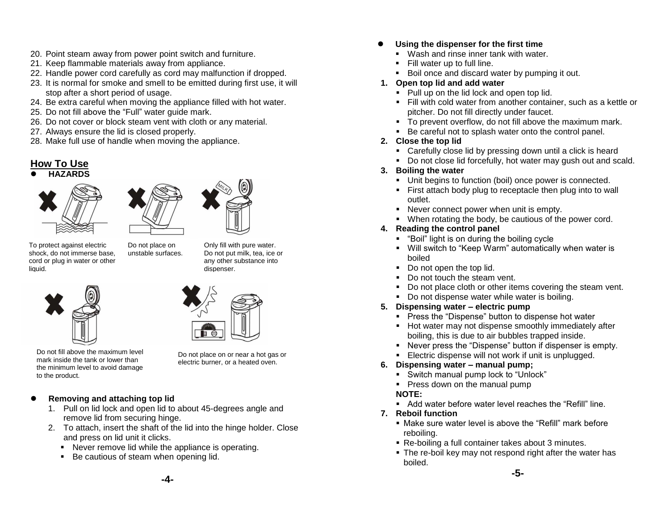- 20. Point steam away from power point switch and furniture.
- 21. Keep flammable materials away from appliance.
- 22. Handle power cord carefully as cord may malfunction if dropped.
- 23. It is normal for smoke and smell to be emitted during first use, it will stop after a short period of usage.
- 24. Be extra careful when moving the appliance filled with hot water.
- 25. Do not fill above the "Full" water guide mark.
- 26. Do not cover or block steam vent with cloth or any material.

Do not place on unstable surfaces.

- 27. Always ensure the lid is closed properly.
- 28. Make full use of handle when moving the appliance.

### **How To Use**

## **HAZARDS**



To protect against electric shock, do not immerse base, cord or plug in water or other liquid.





dispenser.

Do not fill above the maximum level mark inside the tank or lower than the minimum level to avoid damage to the product.

Do not place on or near a hot gas or electric burner, or a heated oven.

Only fill with pure water. Do not put milk, tea, ice or any other substance into

#### **•** Removing and attaching top lid

- 1. Pull on lid lock and open lid to about 45-degrees angle and remove lid from securing hinge.
- 2. To attach, insert the shaft of the lid into the hinge holder. Close and press on lid unit it clicks.
	- Never remove lid while the appliance is operating.
	- Be cautious of steam when opening lid.

#### **Using the dispenser for the first time**

- **Wash and rinse inner tank with water.**
- **Fill water up to full line.**
- Boil once and discard water by pumping it out.
- **1. Open top lid and add water**
	- Pull up on the lid lock and open top lid.
	- Fill with cold water from another container, such as a kettle or pitcher. Do not fill directly under faucet.
	- To prevent overflow, do not fill above the maximum mark.
	- Be careful not to splash water onto the control panel.

#### **2. Close the top lid**

- Carefully close lid by pressing down until a click is heard
- Do not close lid forcefully, hot water may gush out and scald.

#### **3. Boiling the water**

- Unit begins to function (boil) once power is connected.
- First attach body plug to receptacle then plug into to wall outlet.
- Never connect power when unit is empty.
- When rotating the body, be cautious of the power cord.
- **4. Reading the control panel**
	- "Boil" light is on during the boiling cycle
	- Will switch to "Keep Warm" automatically when water is boiled
	- Do not open the top lid.
	- Do not touch the steam vent.
	- Do not place cloth or other items covering the steam vent.
	- Do not dispense water while water is boiling.
- **5. Dispensing water – electric pump**
	- **Press the "Dispense" button to dispense hot water**
	- **Hot water may not dispense smoothly immediately after** boiling, this is due to air bubbles trapped inside.
	- Never press the "Dispense" button if dispenser is empty.
	- **Electric dispense will not work if unit is unplugged.**

#### **6. Dispensing water – manual pump;**

- Switch manual pump lock to "Unlock"
- **Press down on the manual pump**

#### **NOTE:**

- Add water before water level reaches the "Refill" line.
- **7. Reboil function**
	- Make sure water level is above the "Refill" mark before reboiling.
	- Re-boiling a full container takes about 3 minutes.
	- The re-boil key may not respond right after the water has boiled.